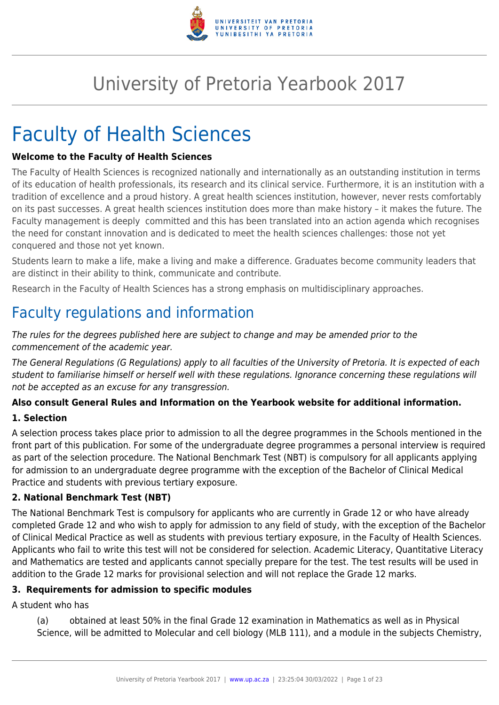

# University of Pretoria Yearbook 2017

# Faculty of Health Sciences

#### **Welcome to the Faculty of Health Sciences**

The Faculty of Health Sciences is recognized nationally and internationally as an outstanding institution in terms of its education of health professionals, its research and its clinical service. Furthermore, it is an institution with a tradition of excellence and a proud history. A great health sciences institution, however, never rests comfortably on its past successes. A great health sciences institution does more than make history – it makes the future. The Faculty management is deeply committed and this has been translated into an action agenda which recognises the need for constant innovation and is dedicated to meet the health sciences challenges: those not yet conquered and those not yet known.

Students learn to make a life, make a living and make a difference. Graduates become community leaders that are distinct in their ability to think, communicate and contribute.

Research in the Faculty of Health Sciences has a strong emphasis on multidisciplinary approaches.

# Faculty regulations and information

The rules for the degrees published here are subject to change and may be amended prior to the commencement of the academic year.

The General Regulations (G Regulations) apply to all faculties of the University of Pretoria. It is expected of each student to familiarise himself or herself well with these regulations. Ignorance concerning these regulations will not be accepted as an excuse for any transgression.

#### **Also consult General Rules and Information on the Yearbook website for additional information.**

#### **1. Selection**

A selection process takes place prior to admission to all the degree programmes in the Schools mentioned in the front part of this publication. For some of the undergraduate degree programmes a personal interview is required as part of the selection procedure. The National Benchmark Test (NBT) is compulsory for all applicants applying for admission to an undergraduate degree programme with the exception of the Bachelor of Clinical Medical Practice and students with previous tertiary exposure.

#### **2. National Benchmark Test (NBT)**

The National Benchmark Test is compulsory for applicants who are currently in Grade 12 or who have already completed Grade 12 and who wish to apply for admission to any field of study, with the exception of the Bachelor of Clinical Medical Practice as well as students with previous tertiary exposure, in the Faculty of Health Sciences. Applicants who fail to write this test will not be considered for selection. Academic Literacy, Quantitative Literacy and Mathematics are tested and applicants cannot specially prepare for the test. The test results will be used in addition to the Grade 12 marks for provisional selection and will not replace the Grade 12 marks.

#### **3. Requirements for admission to specific modules**

A student who has

(a) obtained at least 50% in the final Grade 12 examination in Mathematics as well as in Physical Science, will be admitted to Molecular and cell biology (MLB 111), and a module in the subjects Chemistry,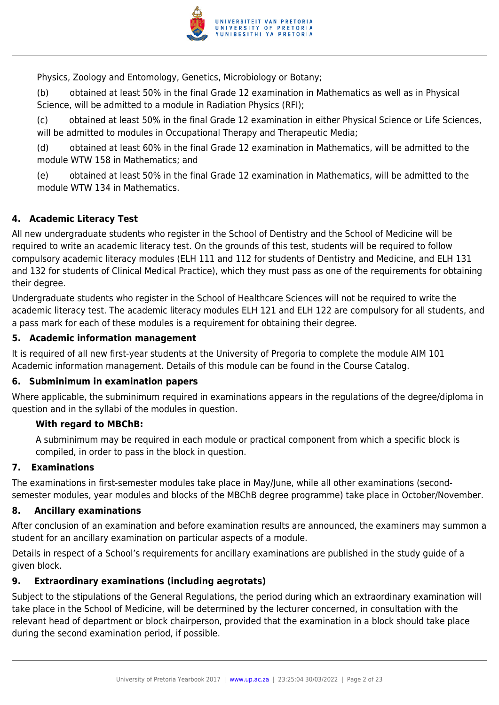

Physics, Zoology and Entomology, Genetics, Microbiology or Botany;

(b) obtained at least 50% in the final Grade 12 examination in Mathematics as well as in Physical Science, will be admitted to a module in Radiation Physics (RFI);

(c) obtained at least 50% in the final Grade 12 examination in either Physical Science or Life Sciences, will be admitted to modules in Occupational Therapy and Therapeutic Media;

(d) obtained at least 60% in the final Grade 12 examination in Mathematics, will be admitted to the module WTW 158 in Mathematics; and

(e) obtained at least 50% in the final Grade 12 examination in Mathematics, will be admitted to the module WTW 134 in Mathematics.

#### **4. Academic Literacy Test**

All new undergraduate students who register in the School of Dentistry and the School of Medicine will be required to write an academic literacy test. On the grounds of this test, students will be required to follow compulsory academic literacy modules (ELH 111 and 112 for students of Dentistry and Medicine, and ELH 131 and 132 for students of Clinical Medical Practice), which they must pass as one of the requirements for obtaining their degree.

Undergraduate students who register in the School of Healthcare Sciences will not be required to write the academic literacy test. The academic literacy modules ELH 121 and ELH 122 are compulsory for all students, and a pass mark for each of these modules is a requirement for obtaining their degree.

#### **5. Academic information management**

It is required of all new first-year students at the University of Pregoria to complete the module AIM 101 Academic information management. Details of this module can be found in the Course Catalog.

#### **6. Subminimum in examination papers**

Where applicable, the subminimum required in examinations appears in the regulations of the degree/diploma in question and in the syllabi of the modules in question.

#### **With regard to MBChB:**

A subminimum may be required in each module or practical component from which a specific block is compiled, in order to pass in the block in question.

#### **7. Examinations**

The examinations in first-semester modules take place in May/June, while all other examinations (secondsemester modules, year modules and blocks of the MBChB degree programme) take place in October/November.

#### **8. Ancillary examinations**

After conclusion of an examination and before examination results are announced, the examiners may summon a student for an ancillary examination on particular aspects of a module.

Details in respect of a School's requirements for ancillary examinations are published in the study guide of a given block.

#### **9. Extraordinary examinations (including aegrotats)**

Subject to the stipulations of the General Regulations, the period during which an extraordinary examination will take place in the School of Medicine, will be determined by the lecturer concerned, in consultation with the relevant head of department or block chairperson, provided that the examination in a block should take place during the second examination period, if possible.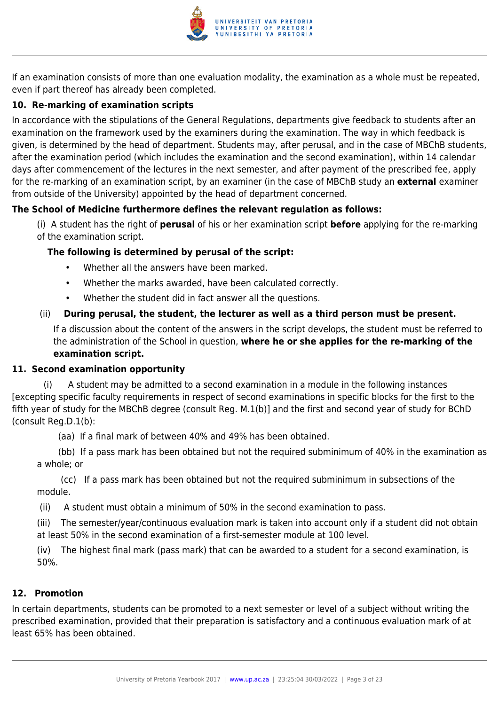

If an examination consists of more than one evaluation modality, the examination as a whole must be repeated, even if part thereof has already been completed.

#### **10. Re-marking of examination scripts**

In accordance with the stipulations of the General Regulations, departments give feedback to students after an examination on the framework used by the examiners during the examination. The way in which feedback is given, is determined by the head of department. Students may, after perusal, and in the case of MBChB students, after the examination period (which includes the examination and the second examination), within 14 calendar days after commencement of the lectures in the next semester, and after payment of the prescribed fee, apply for the re-marking of an examination script, by an examiner (in the case of MBChB study an **external** examiner from outside of the University) appointed by the head of department concerned.

#### **The School of Medicine furthermore defines the relevant regulation as follows:**

(i) A student has the right of **perusal** of his or her examination script **before** applying for the re-marking of the examination script.

#### **The following is determined by perusal of the script:**

- Whether all the answers have been marked.
- Whether the marks awarded, have been calculated correctly.
- Whether the student did in fact answer all the questions.

#### (ii) **During perusal, the student, the lecturer as well as a third person must be present.**

If a discussion about the content of the answers in the script develops, the student must be referred to the administration of the School in question, **where he or she applies for the re-marking of the examination script.**

#### **11. Second examination opportunity**

 (i) A student may be admitted to a second examination in a module in the following instances [excepting specific faculty requirements in respect of second examinations in specific blocks for the first to the fifth year of study for the MBChB degree (consult Reg. M.1(b)] and the first and second year of study for BChD (consult Reg.D.1(b):

(aa) If a final mark of between 40% and 49% has been obtained.

 (bb) If a pass mark has been obtained but not the required subminimum of 40% in the examination as a whole; or

 (cc) If a pass mark has been obtained but not the required subminimum in subsections of the module.

(ii) A student must obtain a minimum of 50% in the second examination to pass.

(iii) The semester/year/continuous evaluation mark is taken into account only if a student did not obtain at least 50% in the second examination of a first-semester module at 100 level.

(iv) The highest final mark (pass mark) that can be awarded to a student for a second examination, is 50%.

#### **12. Promotion**

In certain departments, students can be promoted to a next semester or level of a subject without writing the prescribed examination, provided that their preparation is satisfactory and a continuous evaluation mark of at least 65% has been obtained.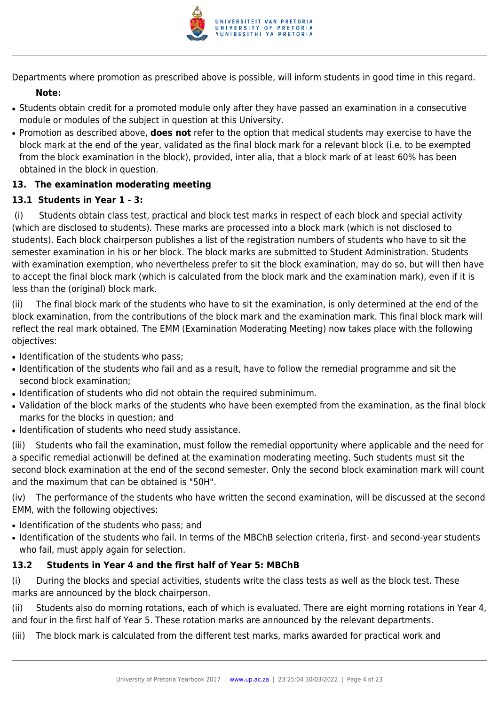

Departments where promotion as prescribed above is possible, will inform students in good time in this regard.

#### **Note:**

- Students obtain credit for a promoted module only after they have passed an examination in a consecutive module or modules of the subject in question at this University.
- Promotion as described above, **does not** refer to the option that medical students may exercise to have the block mark at the end of the year, validated as the final block mark for a relevant block (i.e. to be exempted from the block examination in the block), provided, inter alia, that a block mark of at least 60% has been obtained in the block in question.

#### **13. The examination moderating meeting**

#### **13.1 Students in Year 1 - 3:**

(i) Students obtain class test, practical and block test marks in respect of each block and special activity (which are disclosed to students). These marks are processed into a block mark (which is not disclosed to students). Each block chairperson publishes a list of the registration numbers of students who have to sit the semester examination in his or her block. The block marks are submitted to Student Administration. Students with examination exemption, who nevertheless prefer to sit the block examination, may do so, but will then have to accept the final block mark (which is calculated from the block mark and the examination mark), even if it is less than the (original) block mark.

(ii) The final block mark of the students who have to sit the examination, is only determined at the end of the block examination, from the contributions of the block mark and the examination mark. This final block mark will reflect the real mark obtained. The EMM (Examination Moderating Meeting) now takes place with the following objectives:

- Identification of the students who pass;
- Identification of the students who fail and as a result, have to follow the remedial programme and sit the second block examination;
- Identification of students who did not obtain the required subminimum.
- Validation of the block marks of the students who have been exempted from the examination, as the final block marks for the blocks in question; and
- Identification of students who need study assistance.

(iii) Students who fail the examination, must follow the remedial opportunity where applicable and the need for a specific remedial actionwill be defined at the examination moderating meeting. Such students must sit the second block examination at the end of the second semester. Only the second block examination mark will count and the maximum that can be obtained is "50H".

(iv) The performance of the students who have written the second examination, will be discussed at the second EMM, with the following objectives:

- Identification of the students who pass; and
- Identification of the students who fail. In terms of the MBChB selection criteria, first- and second-year students who fail, must apply again for selection.

#### **13.2 Students in Year 4 and the first half of Year 5: MBChB**

(i) During the blocks and special activities, students write the class tests as well as the block test. These marks are announced by the block chairperson.

(ii) Students also do morning rotations, each of which is evaluated. There are eight morning rotations in Year 4, and four in the first half of Year 5. These rotation marks are announced by the relevant departments.

(iii) The block mark is calculated from the different test marks, marks awarded for practical work and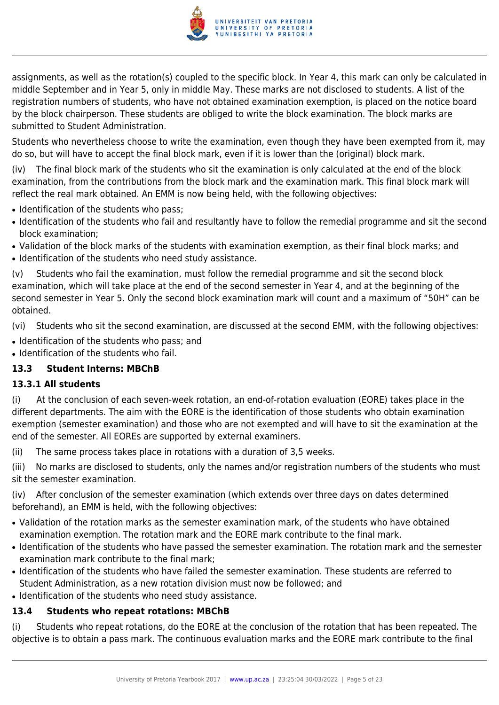

assignments, as well as the rotation(s) coupled to the specific block. In Year 4, this mark can only be calculated in middle September and in Year 5, only in middle May. These marks are not disclosed to students. A list of the registration numbers of students, who have not obtained examination exemption, is placed on the notice board by the block chairperson. These students are obliged to write the block examination. The block marks are submitted to Student Administration.

Students who nevertheless choose to write the examination, even though they have been exempted from it, may do so, but will have to accept the final block mark, even if it is lower than the (original) block mark.

(iv) The final block mark of the students who sit the examination is only calculated at the end of the block examination, from the contributions from the block mark and the examination mark. This final block mark will reflect the real mark obtained. An EMM is now being held, with the following objectives:

- Identification of the students who pass:
- Identification of the students who fail and resultantly have to follow the remedial programme and sit the second block examination;
- Validation of the block marks of the students with examination exemption, as their final block marks; and
- Identification of the students who need study assistance.

(v) Students who fail the examination, must follow the remedial programme and sit the second block examination, which will take place at the end of the second semester in Year 4, and at the beginning of the second semester in Year 5. Only the second block examination mark will count and a maximum of "50H" can be obtained.

(vi) Students who sit the second examination, are discussed at the second EMM, with the following objectives:

• Identification of the students who pass; and

• Identification of the students who fail.

#### **13.3 Student Interns: MBChB**

#### **13.3.1 All students**

(i) At the conclusion of each seven-week rotation, an end-of-rotation evaluation (EORE) takes place in the different departments. The aim with the EORE is the identification of those students who obtain examination exemption (semester examination) and those who are not exempted and will have to sit the examination at the end of the semester. All EOREs are supported by external examiners.

(ii) The same process takes place in rotations with a duration of 3,5 weeks.

(iii) No marks are disclosed to students, only the names and/or registration numbers of the students who must sit the semester examination.

(iv) After conclusion of the semester examination (which extends over three days on dates determined beforehand), an EMM is held, with the following objectives:

- Validation of the rotation marks as the semester examination mark, of the students who have obtained examination exemption. The rotation mark and the EORE mark contribute to the final mark.
- Identification of the students who have passed the semester examination. The rotation mark and the semester examination mark contribute to the final mark;
- Identification of the students who have failed the semester examination. These students are referred to Student Administration, as a new rotation division must now be followed; and
- Identification of the students who need study assistance.

#### **13.4 Students who repeat rotations: MBChB**

(i) Students who repeat rotations, do the EORE at the conclusion of the rotation that has been repeated. The objective is to obtain a pass mark. The continuous evaluation marks and the EORE mark contribute to the final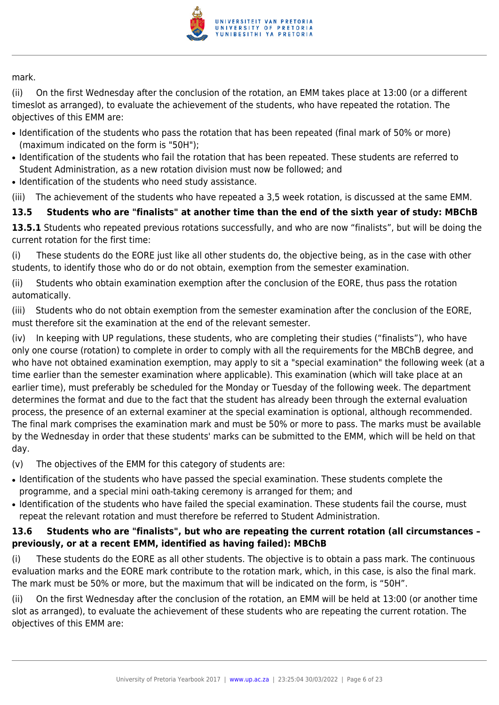

mark.

(ii) On the first Wednesday after the conclusion of the rotation, an EMM takes place at 13:00 (or a different timeslot as arranged), to evaluate the achievement of the students, who have repeated the rotation. The objectives of this EMM are:

- Identification of the students who pass the rotation that has been repeated (final mark of 50% or more) (maximum indicated on the form is "50H");
- Identification of the students who fail the rotation that has been repeated. These students are referred to Student Administration, as a new rotation division must now be followed; and
- Identification of the students who need study assistance.

(iii) The achievement of the students who have repeated a 3,5 week rotation, is discussed at the same EMM.

#### **13.5 Students who are "finalists" at another time than the end of the sixth year of study: MBChB**

**13.5.1** Students who repeated previous rotations successfully, and who are now "finalists", but will be doing the current rotation for the first time:

(i) These students do the EORE just like all other students do, the objective being, as in the case with other students, to identify those who do or do not obtain, exemption from the semester examination.

(ii) Students who obtain examination exemption after the conclusion of the EORE, thus pass the rotation automatically.

(iii) Students who do not obtain exemption from the semester examination after the conclusion of the EORE, must therefore sit the examination at the end of the relevant semester.

(iv) In keeping with UP regulations, these students, who are completing their studies ("finalists"), who have only one course (rotation) to complete in order to comply with all the requirements for the MBChB degree, and who have not obtained examination exemption, may apply to sit a "special examination" the following week (at a time earlier than the semester examination where applicable). This examination (which will take place at an earlier time), must preferably be scheduled for the Monday or Tuesday of the following week. The department determines the format and due to the fact that the student has already been through the external evaluation process, the presence of an external examiner at the special examination is optional, although recommended. The final mark comprises the examination mark and must be 50% or more to pass. The marks must be available by the Wednesday in order that these students' marks can be submitted to the EMM, which will be held on that day.

(v) The objectives of the EMM for this category of students are:

- Identification of the students who have passed the special examination. These students complete the programme, and a special mini oath-taking ceremony is arranged for them; and
- Identification of the students who have failed the special examination. These students fail the course, must repeat the relevant rotation and must therefore be referred to Student Administration.

#### **13.6 Students who are "finalists", but who are repeating the current rotation (all circumstances – previously, or at a recent EMM, identified as having failed): MBChB**

(i) These students do the EORE as all other students. The objective is to obtain a pass mark. The continuous evaluation marks and the EORE mark contribute to the rotation mark, which, in this case, is also the final mark. The mark must be 50% or more, but the maximum that will be indicated on the form, is "50H".

(ii) On the first Wednesday after the conclusion of the rotation, an EMM will be held at 13:00 (or another time slot as arranged), to evaluate the achievement of these students who are repeating the current rotation. The objectives of this EMM are: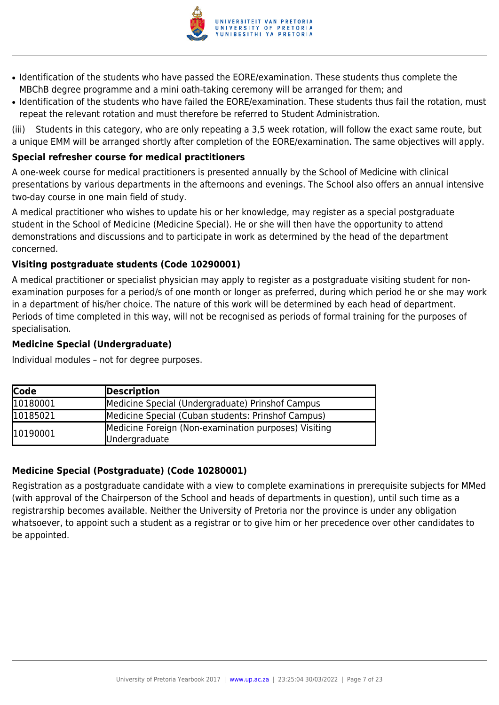

- Identification of the students who have passed the EORE/examination. These students thus complete the MBChB degree programme and a mini oath-taking ceremony will be arranged for them; and
- Identification of the students who have failed the EORE/examination. These students thus fail the rotation, must repeat the relevant rotation and must therefore be referred to Student Administration.

(iii) Students in this category, who are only repeating a 3,5 week rotation, will follow the exact same route, but a unique EMM will be arranged shortly after completion of the EORE/examination. The same objectives will apply.

#### **Special refresher course for medical practitioners**

A one-week course for medical practitioners is presented annually by the School of Medicine with clinical presentations by various departments in the afternoons and evenings. The School also offers an annual intensive two-day course in one main field of study.

A medical practitioner who wishes to update his or her knowledge, may register as a special postgraduate student in the School of Medicine (Medicine Special). He or she will then have the opportunity to attend demonstrations and discussions and to participate in work as determined by the head of the department concerned.

#### **Visiting postgraduate students (Code 10290001)**

A medical practitioner or specialist physician may apply to register as a postgraduate visiting student for nonexamination purposes for a period/s of one month or longer as preferred, during which period he or she may work in a department of his/her choice. The nature of this work will be determined by each head of department. Periods of time completed in this way, will not be recognised as periods of formal training for the purposes of specialisation.

#### **Medicine Special (Undergraduate)**

Individual modules – not for degree purposes.

| <b>Code</b> | Description                                                           |
|-------------|-----------------------------------------------------------------------|
| 10180001    | Medicine Special (Undergraduate) Prinshof Campus                      |
| 10185021    | Medicine Special (Cuban students: Prinshof Campus)                    |
| 10190001    | Medicine Foreign (Non-examination purposes) Visiting<br>Undergraduate |

#### **Medicine Special (Postgraduate) (Code 10280001)**

Registration as a postgraduate candidate with a view to complete examinations in prerequisite subjects for MMed (with approval of the Chairperson of the School and heads of departments in question), until such time as a registrarship becomes available. Neither the University of Pretoria nor the province is under any obligation whatsoever, to appoint such a student as a registrar or to give him or her precedence over other candidates to be appointed.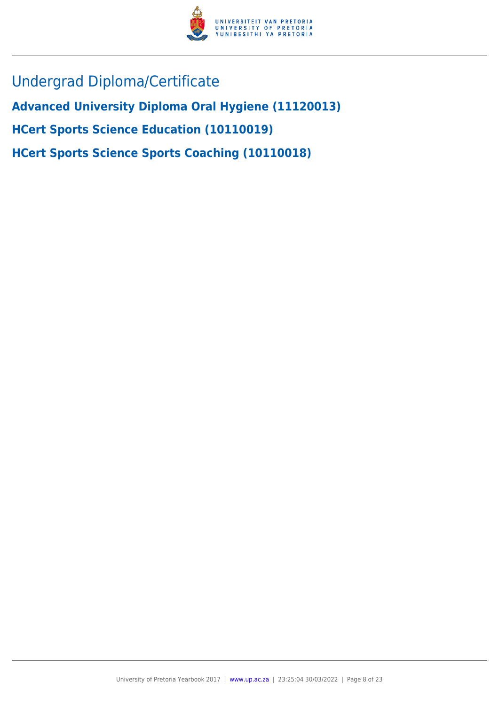

Undergrad Diploma/Certificate

**Advanced University Diploma Oral Hygiene (11120013)**

**HCert Sports Science Education (10110019)**

**HCert Sports Science Sports Coaching (10110018)**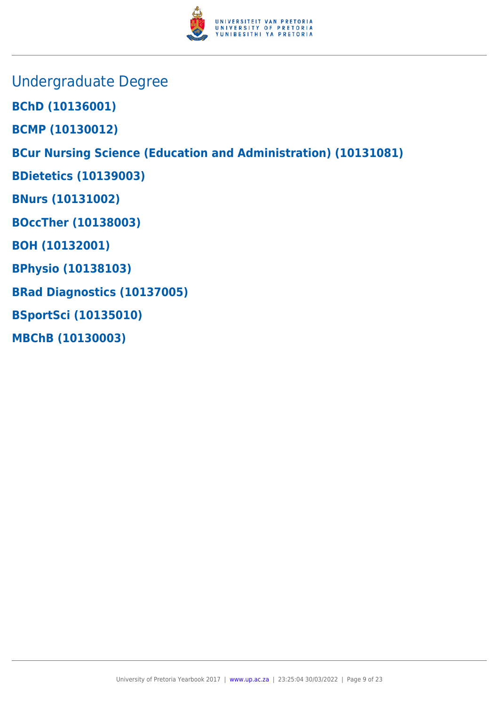

- Undergraduate Degree
- **BChD (10136001)**
- **BCMP (10130012)**

**BCur Nursing Science (Education and Administration) (10131081)**

- **BDietetics (10139003)**
- **BNurs (10131002)**
- **BOccTher (10138003)**
- **BOH (10132001)**
- **BPhysio (10138103)**
- **BRad Diagnostics (10137005)**
- **BSportSci (10135010)**
- **MBChB (10130003)**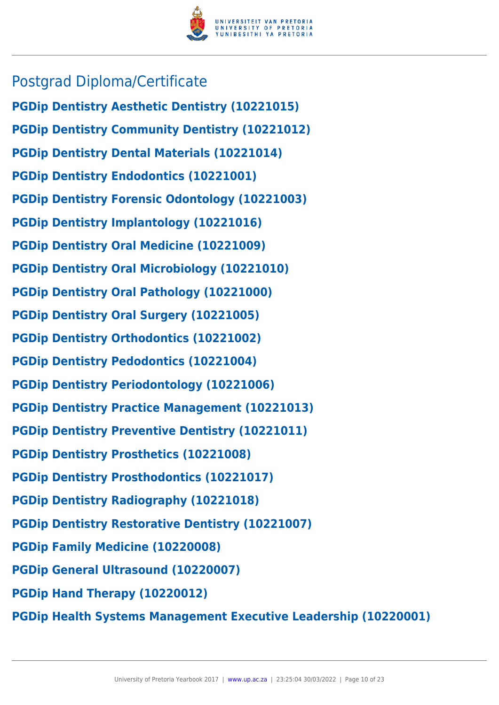

## Postgrad Diploma/Certificate

**PGDip Dentistry Aesthetic Dentistry (10221015) PGDip Dentistry Community Dentistry (10221012) PGDip Dentistry Dental Materials (10221014) PGDip Dentistry Endodontics (10221001) PGDip Dentistry Forensic Odontology (10221003) PGDip Dentistry Implantology (10221016) PGDip Dentistry Oral Medicine (10221009) PGDip Dentistry Oral Microbiology (10221010) PGDip Dentistry Oral Pathology (10221000) PGDip Dentistry Oral Surgery (10221005) PGDip Dentistry Orthodontics (10221002) PGDip Dentistry Pedodontics (10221004) PGDip Dentistry Periodontology (10221006) PGDip Dentistry Practice Management (10221013) PGDip Dentistry Preventive Dentistry (10221011) PGDip Dentistry Prosthetics (10221008) PGDip Dentistry Prosthodontics (10221017) PGDip Dentistry Radiography (10221018) PGDip Dentistry Restorative Dentistry (10221007) PGDip Family Medicine (10220008) PGDip General Ultrasound (10220007) PGDip Hand Therapy (10220012)**

**PGDip Health Systems Management Executive Leadership (10220001)**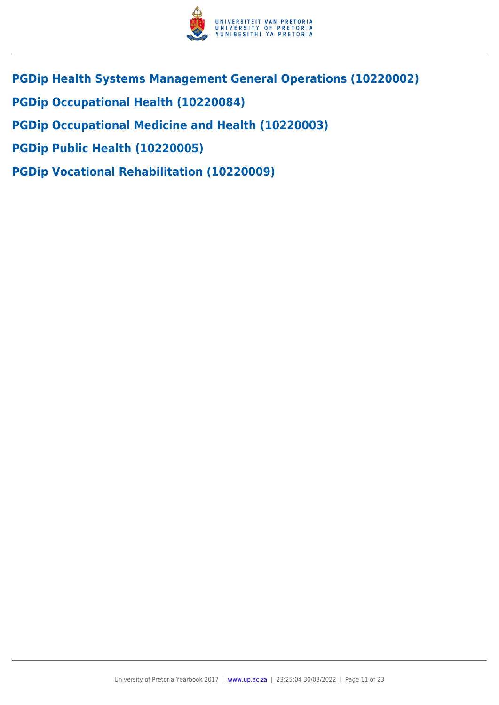

- **PGDip Health Systems Management General Operations (10220002)**
- **PGDip Occupational Health (10220084)**
- **PGDip Occupational Medicine and Health (10220003)**
- **PGDip Public Health (10220005)**
- **PGDip Vocational Rehabilitation (10220009)**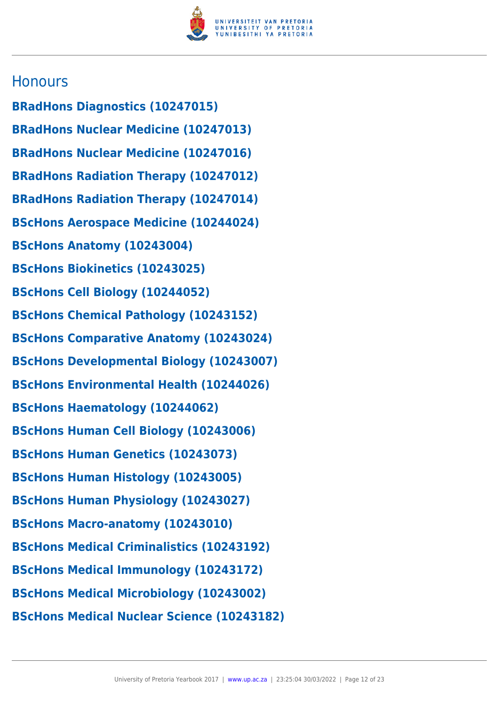

### **Honours**

**BRadHons Diagnostics (10247015) BRadHons Nuclear Medicine (10247013) BRadHons Nuclear Medicine (10247016) BRadHons Radiation Therapy (10247012) BRadHons Radiation Therapy (10247014) BScHons Aerospace Medicine (10244024) BScHons Anatomy (10243004) BScHons Biokinetics (10243025) BScHons Cell Biology (10244052) BScHons Chemical Pathology (10243152) BScHons Comparative Anatomy (10243024) BScHons Developmental Biology (10243007) BScHons Environmental Health (10244026) BScHons Haematology (10244062) BScHons Human Cell Biology (10243006) BScHons Human Genetics (10243073) BScHons Human Histology (10243005) BScHons Human Physiology (10243027) BScHons Macro-anatomy (10243010) BScHons Medical Criminalistics (10243192) BScHons Medical Immunology (10243172) BScHons Medical Microbiology (10243002) BScHons Medical Nuclear Science (10243182)**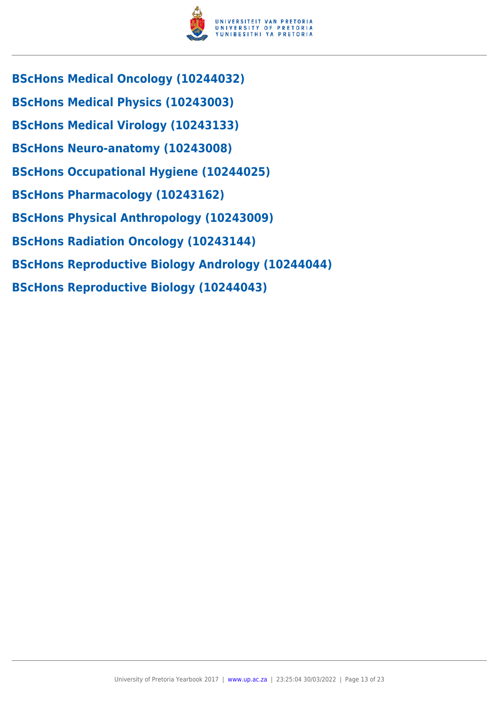

- **BScHons Medical Oncology (10244032)**
- **BScHons Medical Physics (10243003)**
- **BScHons Medical Virology (10243133)**
- **BScHons Neuro-anatomy (10243008)**
- **BScHons Occupational Hygiene (10244025)**
- **BScHons Pharmacology (10243162)**
- **BScHons Physical Anthropology (10243009)**
- **BScHons Radiation Oncology (10243144)**
- **BScHons Reproductive Biology Andrology (10244044)**
- **BScHons Reproductive Biology (10244043)**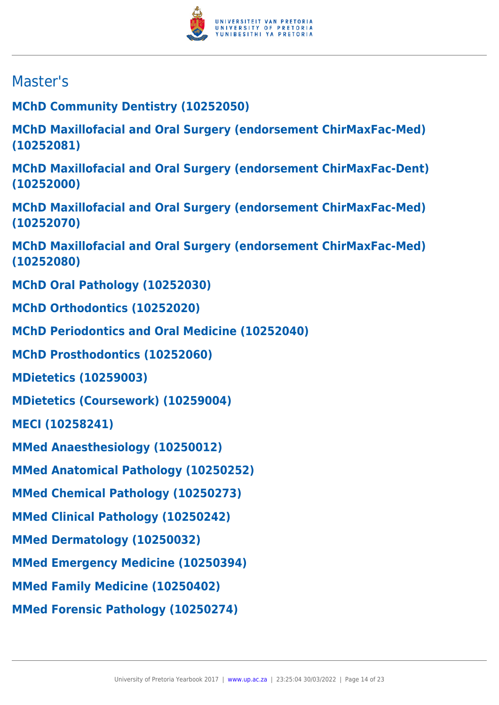

# Master's

**MChD Community Dentistry (10252050)**

**MChD Maxillofacial and Oral Surgery (endorsement ChirMaxFac-Med) (10252081)**

**MChD Maxillofacial and Oral Surgery (endorsement ChirMaxFac-Dent) (10252000)**

**MChD Maxillofacial and Oral Surgery (endorsement ChirMaxFac-Med) (10252070)**

**MChD Maxillofacial and Oral Surgery (endorsement ChirMaxFac-Med) (10252080)**

**MChD Oral Pathology (10252030)**

**MChD Orthodontics (10252020)**

**MChD Periodontics and Oral Medicine (10252040)**

**MChD Prosthodontics (10252060)**

**MDietetics (10259003)**

**MDietetics (Coursework) (10259004)**

**MECI (10258241)**

**MMed Anaesthesiology (10250012)**

**MMed Anatomical Pathology (10250252)**

**MMed Chemical Pathology (10250273)**

**MMed Clinical Pathology (10250242)**

**MMed Dermatology (10250032)**

**MMed Emergency Medicine (10250394)**

**MMed Family Medicine (10250402)**

**MMed Forensic Pathology (10250274)**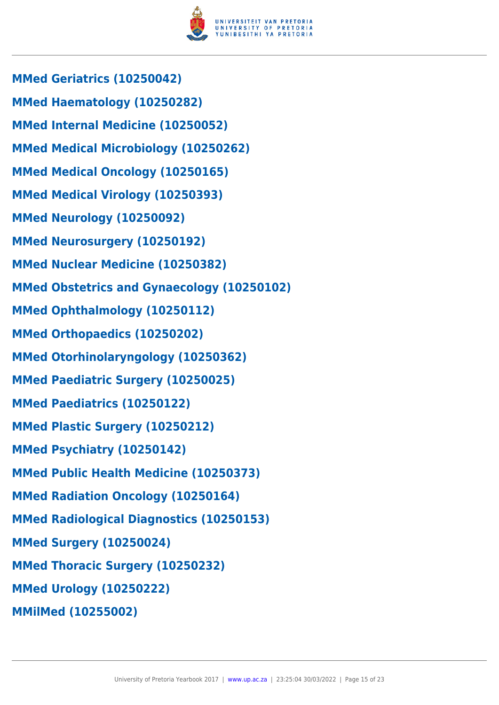

**MMed Geriatrics (10250042) MMed Haematology (10250282) MMed Internal Medicine (10250052) MMed Medical Microbiology (10250262) MMed Medical Oncology (10250165) MMed Medical Virology (10250393) MMed Neurology (10250092) MMed Neurosurgery (10250192) MMed Nuclear Medicine (10250382) MMed Obstetrics and Gynaecology (10250102) MMed Ophthalmology (10250112) MMed Orthopaedics (10250202) MMed Otorhinolaryngology (10250362) MMed Paediatric Surgery (10250025) MMed Paediatrics (10250122) MMed Plastic Surgery (10250212) MMed Psychiatry (10250142) MMed Public Health Medicine (10250373) MMed Radiation Oncology (10250164) MMed Radiological Diagnostics (10250153) MMed Surgery (10250024) MMed Thoracic Surgery (10250232) MMed Urology (10250222) MMilMed (10255002)**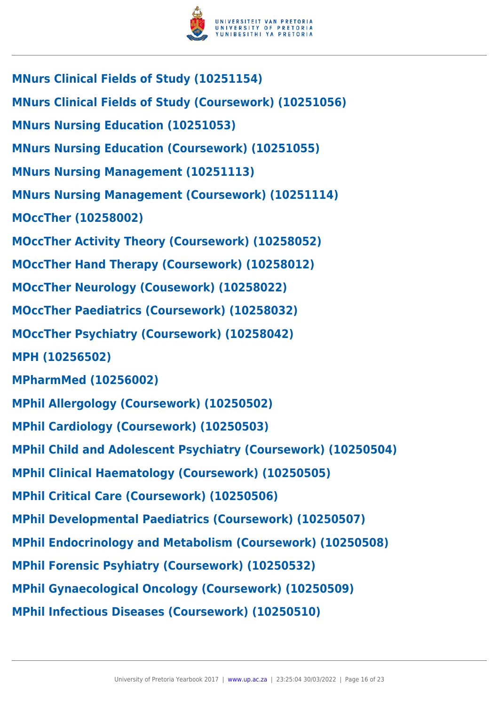

- **MNurs Clinical Fields of Study (10251154)**
- **MNurs Clinical Fields of Study (Coursework) (10251056)**
- **MNurs Nursing Education (10251053)**
- **MNurs Nursing Education (Coursework) (10251055)**
- **MNurs Nursing Management (10251113)**
- **MNurs Nursing Management (Coursework) (10251114)**
- **MOccTher (10258002)**
- **MOccTher Activity Theory (Coursework) (10258052)**
- **MOccTher Hand Therapy (Coursework) (10258012)**
- **MOccTher Neurology (Cousework) (10258022)**
- **MOccTher Paediatrics (Coursework) (10258032)**
- **MOccTher Psychiatry (Coursework) (10258042)**
- **MPH (10256502)**
- **MPharmMed (10256002)**
- **MPhil Allergology (Coursework) (10250502)**
- **MPhil Cardiology (Coursework) (10250503)**
- **MPhil Child and Adolescent Psychiatry (Coursework) (10250504)**
- **MPhil Clinical Haematology (Coursework) (10250505)**
- **MPhil Critical Care (Coursework) (10250506)**
- **MPhil Developmental Paediatrics (Coursework) (10250507)**
- **MPhil Endocrinology and Metabolism (Coursework) (10250508)**
- **MPhil Forensic Psyhiatry (Coursework) (10250532)**
- **MPhil Gynaecological Oncology (Coursework) (10250509)**
- **MPhil Infectious Diseases (Coursework) (10250510)**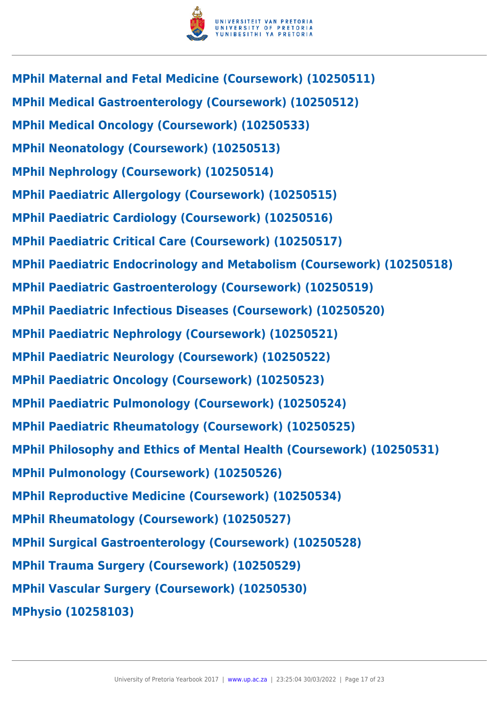

**MPhil Maternal and Fetal Medicine (Coursework) (10250511) MPhil Medical Gastroenterology (Coursework) (10250512) MPhil Medical Oncology (Coursework) (10250533) MPhil Neonatology (Coursework) (10250513) MPhil Nephrology (Coursework) (10250514) MPhil Paediatric Allergology (Coursework) (10250515) MPhil Paediatric Cardiology (Coursework) (10250516) MPhil Paediatric Critical Care (Coursework) (10250517) MPhil Paediatric Endocrinology and Metabolism (Coursework) (10250518) MPhil Paediatric Gastroenterology (Coursework) (10250519) MPhil Paediatric Infectious Diseases (Coursework) (10250520) MPhil Paediatric Nephrology (Coursework) (10250521) MPhil Paediatric Neurology (Coursework) (10250522) MPhil Paediatric Oncology (Coursework) (10250523) MPhil Paediatric Pulmonology (Coursework) (10250524) MPhil Paediatric Rheumatology (Coursework) (10250525) MPhil Philosophy and Ethics of Mental Health (Coursework) (10250531) MPhil Pulmonology (Coursework) (10250526) MPhil Reproductive Medicine (Coursework) (10250534) MPhil Rheumatology (Coursework) (10250527) MPhil Surgical Gastroenterology (Coursework) (10250528) MPhil Trauma Surgery (Coursework) (10250529) MPhil Vascular Surgery (Coursework) (10250530) MPhysio (10258103)**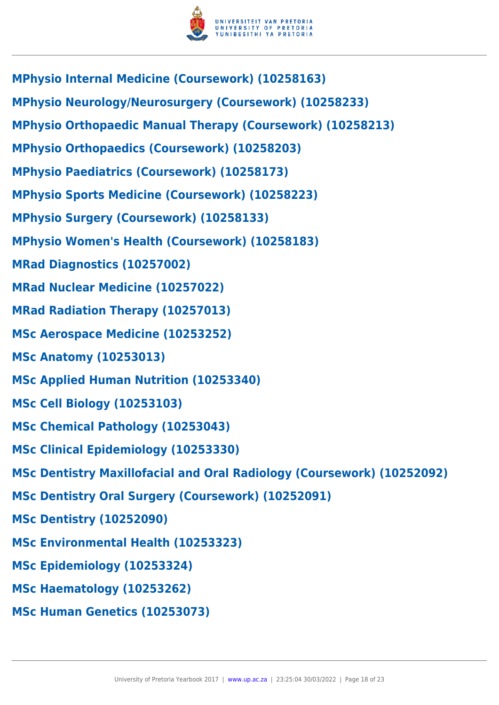

**MPhysio Internal Medicine (Coursework) (10258163) MPhysio Neurology/Neurosurgery (Coursework) (10258233) MPhysio Orthopaedic Manual Therapy (Coursework) (10258213) MPhysio Orthopaedics (Coursework) (10258203) MPhysio Paediatrics (Coursework) (10258173) MPhysio Sports Medicine (Coursework) (10258223) MPhysio Surgery (Coursework) (10258133) MPhysio Women's Health (Coursework) (10258183) MRad Diagnostics (10257002) MRad Nuclear Medicine (10257022) MRad Radiation Therapy (10257013) MSc Aerospace Medicine (10253252) MSc Anatomy (10253013) MSc Applied Human Nutrition (10253340) MSc Cell Biology (10253103) MSc Chemical Pathology (10253043) MSc Clinical Epidemiology (10253330) MSc Dentistry Maxillofacial and Oral Radiology (Coursework) (10252092) MSc Dentistry Oral Surgery (Coursework) (10252091) MSc Dentistry (10252090) MSc Environmental Health (10253323) MSc Epidemiology (10253324) MSc Haematology (10253262) MSc Human Genetics (10253073)**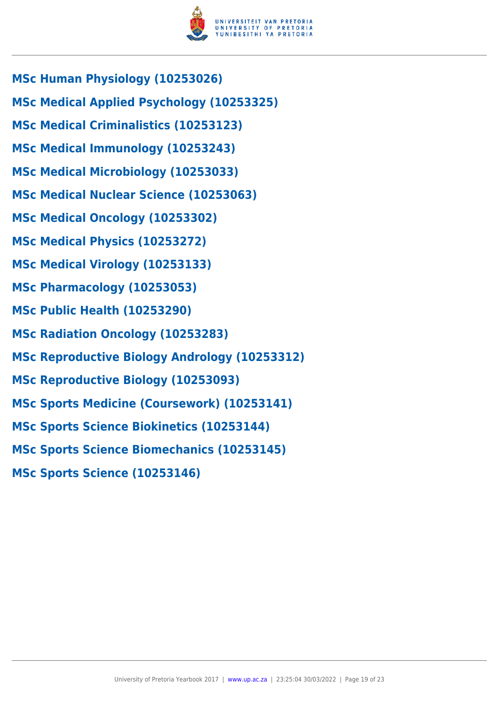

- **MSc Human Physiology (10253026)**
- **MSc Medical Applied Psychology (10253325)**
- **MSc Medical Criminalistics (10253123)**
- **MSc Medical Immunology (10253243)**
- **MSc Medical Microbiology (10253033)**
- **MSc Medical Nuclear Science (10253063)**
- **MSc Medical Oncology (10253302)**
- **MSc Medical Physics (10253272)**
- **MSc Medical Virology (10253133)**
- **MSc Pharmacology (10253053)**
- **MSc Public Health (10253290)**
- **MSc Radiation Oncology (10253283)**
- **MSc Reproductive Biology Andrology (10253312)**
- **MSc Reproductive Biology (10253093)**
- **MSc Sports Medicine (Coursework) (10253141)**
- **MSc Sports Science Biokinetics (10253144)**
- **MSc Sports Science Biomechanics (10253145)**
- **MSc Sports Science (10253146)**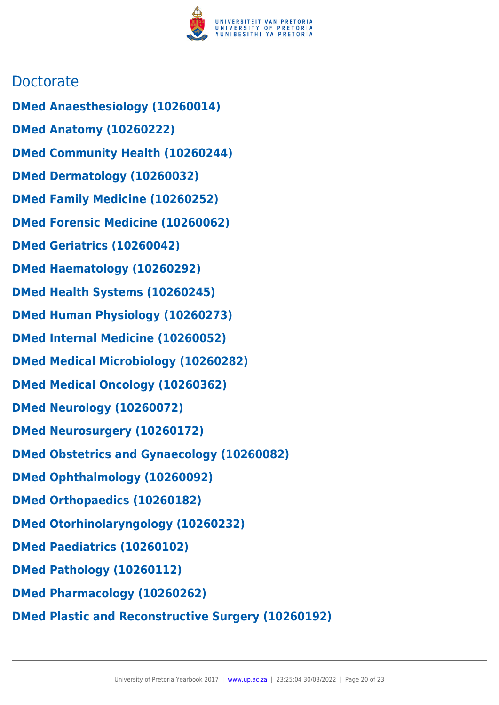

## **Doctorate**

- **DMed Anaesthesiology (10260014)**
- **DMed Anatomy (10260222)**
- **DMed Community Health (10260244)**
- **DMed Dermatology (10260032)**
- **DMed Family Medicine (10260252)**
- **DMed Forensic Medicine (10260062)**
- **DMed Geriatrics (10260042)**
- **DMed Haematology (10260292)**
- **DMed Health Systems (10260245)**
- **DMed Human Physiology (10260273)**
- **DMed Internal Medicine (10260052)**
- **DMed Medical Microbiology (10260282)**
- **DMed Medical Oncology (10260362)**
- **DMed Neurology (10260072)**
- **DMed Neurosurgery (10260172)**
- **DMed Obstetrics and Gynaecology (10260082)**
- **DMed Ophthalmology (10260092)**
- **DMed Orthopaedics (10260182)**
- **DMed Otorhinolaryngology (10260232)**
- **DMed Paediatrics (10260102)**
- **DMed Pathology (10260112)**
- **DMed Pharmacology (10260262)**
- **DMed Plastic and Reconstructive Surgery (10260192)**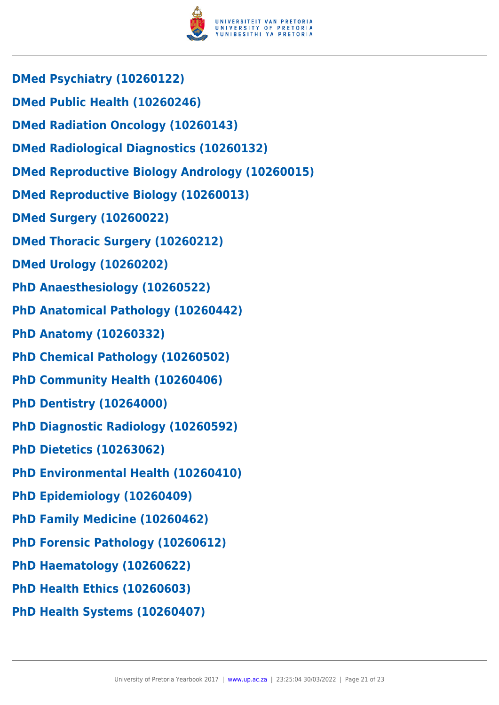

- **DMed Psychiatry (10260122)**
- **DMed Public Health (10260246)**
- **DMed Radiation Oncology (10260143)**
- **DMed Radiological Diagnostics (10260132)**
- **DMed Reproductive Biology Andrology (10260015)**
- **DMed Reproductive Biology (10260013)**
- **DMed Surgery (10260022)**
- **DMed Thoracic Surgery (10260212)**
- **DMed Urology (10260202)**
- **PhD Anaesthesiology (10260522)**
- **PhD Anatomical Pathology (10260442)**
- **PhD Anatomy (10260332)**
- **PhD Chemical Pathology (10260502)**
- **PhD Community Health (10260406)**
- **PhD Dentistry (10264000)**
- **PhD Diagnostic Radiology (10260592)**
- **PhD Dietetics (10263062)**
- **PhD Environmental Health (10260410)**
- **PhD Epidemiology (10260409)**
- **PhD Family Medicine (10260462)**
- **PhD Forensic Pathology (10260612)**
- **PhD Haematology (10260622)**
- **PhD Health Ethics (10260603)**
- **PhD Health Systems (10260407)**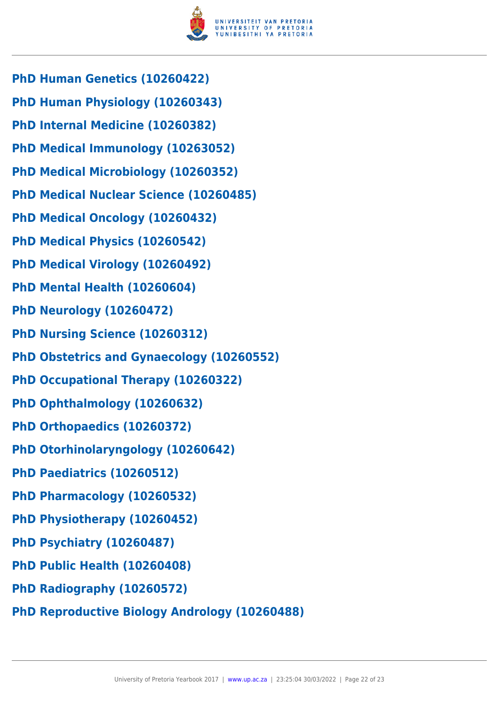

- **PhD Human Genetics (10260422)**
- **PhD Human Physiology (10260343)**
- **PhD Internal Medicine (10260382)**
- **PhD Medical Immunology (10263052)**
- **PhD Medical Microbiology (10260352)**
- **PhD Medical Nuclear Science (10260485)**
- **PhD Medical Oncology (10260432)**
- **PhD Medical Physics (10260542)**
- **PhD Medical Virology (10260492)**
- **PhD Mental Health (10260604)**
- **PhD Neurology (10260472)**
- **PhD Nursing Science (10260312)**
- **PhD Obstetrics and Gynaecology (10260552)**
- **PhD Occupational Therapy (10260322)**
- **PhD Ophthalmology (10260632)**
- **PhD Orthopaedics (10260372)**
- **PhD Otorhinolaryngology (10260642)**
- **PhD Paediatrics (10260512)**
- **PhD Pharmacology (10260532)**
- **PhD Physiotherapy (10260452)**
- **PhD Psychiatry (10260487)**
- **PhD Public Health (10260408)**
- **PhD Radiography (10260572)**
- **PhD Reproductive Biology Andrology (10260488)**